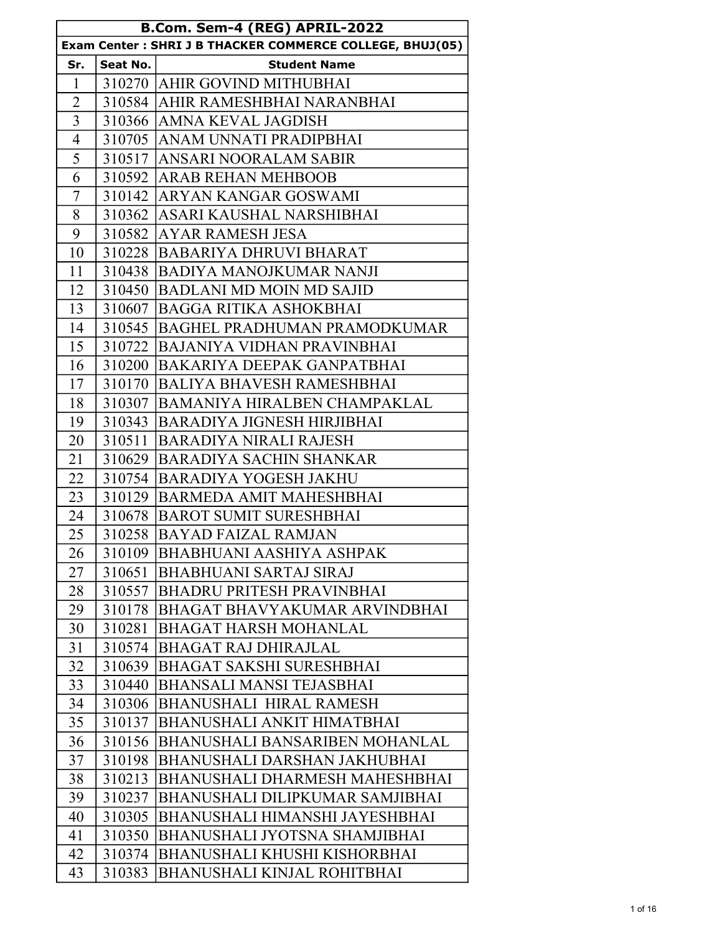| B.Com. Sem-4 (REG) APRIL-2022 |          |                                                          |
|-------------------------------|----------|----------------------------------------------------------|
|                               |          | Exam Center: SHRI J B THACKER COMMERCE COLLEGE, BHUJ(05) |
| Sr.                           | Seat No. | <b>Student Name</b>                                      |
| $\mathbf{1}$                  |          | 310270 AHIR GOVIND MITHUBHAI                             |
| $\overline{2}$                |          | 310584 AHIR RAMESHBHAI NARANBHAI                         |
| $\overline{3}$                |          | 310366   AMNA KEVAL JAGDISH                              |
| $\overline{4}$                |          | 310705 ANAM UNNATI PRADIPBHAI                            |
| 5                             |          | 310517 ANSARI NOORALAM SABIR                             |
| 6                             |          | 310592 ARAB REHAN MEHBOOB                                |
| 7                             |          | 310142 ARYAN KANGAR GOSWAMI                              |
| 8                             |          | 310362 ASARI KAUSHAL NARSHIBHAI                          |
| 9                             |          | 310582 AYAR RAMESH JESA                                  |
| 10                            |          | 310228 BABARIYA DHRUVI BHARAT                            |
| 11                            |          | 310438 BADIYA MANOJKUMAR NANJI                           |
| 12                            |          | 310450 BADLANI MD MOIN MD SAJID                          |
| 13                            |          | 310607 BAGGA RITIKA ASHOKBHAI                            |
| 14                            |          | 310545 BAGHEL PRADHUMAN PRAMODKUMAR                      |
| 15                            |          | 310722 BAJANIYA VIDHAN PRAVINBHAI                        |
| 16                            |          | 310200 BAKARIYA DEEPAK GANPATBHAI                        |
| 17                            |          | 310170 BALIYA BHAVESH RAMESHBHAI                         |
| 18                            |          | 310307 BAMANIYA HIRALBEN CHAMPAKLAL                      |
| 19                            |          | 310343 BARADIYA JIGNESH HIRJIBHAI                        |
| 20                            | 310511   | BARADIYA NIRALI RAJESH                                   |
| 21                            |          | 310629 BARADIYA SACHIN SHANKAR                           |
| 22                            |          | 310754 BARADIYA YOGESH JAKHU                             |
| 23                            |          | 310129 BARMEDA AMIT MAHESHBHAI                           |
| 24                            |          | 310678 BAROT SUMIT SURESHBHAI                            |
| 25                            |          | 310258 BAYAD FAIZAL RAMJAN                               |
| 26                            |          | 310109   BHABHUANI AASHIYA ASHPAK                        |
| 27                            | 310651   | <b>BHABHUANI SARTAJ SIRAJ</b>                            |
| 28                            | 310557   | <b>BHADRU PRITESH PRAVINBHAI</b>                         |
| 29                            | 310178   | BHAGAT BHAVYAKUMAR ARVINDBHAI                            |
| 30                            | 310281   | <b>BHAGAT HARSH MOHANLAL</b>                             |
| 31                            | 310574   | <b>BHAGAT RAJ DHIRAJLAL</b>                              |
| 32                            | 310639   | <b>BHAGAT SAKSHI SURESHBHAI</b>                          |
| 33                            | 310440   | <b>BHANSALI MANSI TEJASBHAI</b>                          |
| 34                            | 310306   | <b>BHANUSHALI HIRAL RAMESH</b>                           |
| 35                            | 310137   | BHANUSHALI ANKIT HIMATBHAI                               |
| 36                            |          | 310156 BHANUSHALI BANSARIBEN MOHANLAL                    |
| 37                            | 310198   | BHANUSHALI DARSHAN JAKHUBHAI                             |
| 38                            | 310213   | BHANUSHALI DHARMESH MAHESHBHAI                           |
| 39                            | 310237   | BHANUSHALI DILIPKUMAR SAMJIBHAI                          |
| 40                            | 310305   | BHANUSHALI HIMANSHI JAYESHBHAI                           |
| 41                            | 310350   | BHANUSHALI JYOTSNA SHAMJIBHAI                            |
| 42                            | 310374   | BHANUSHALI KHUSHI KISHORBHAI                             |
| 43                            | 310383   | <b>BHANUSHALI KINJAL ROHITBHAI</b>                       |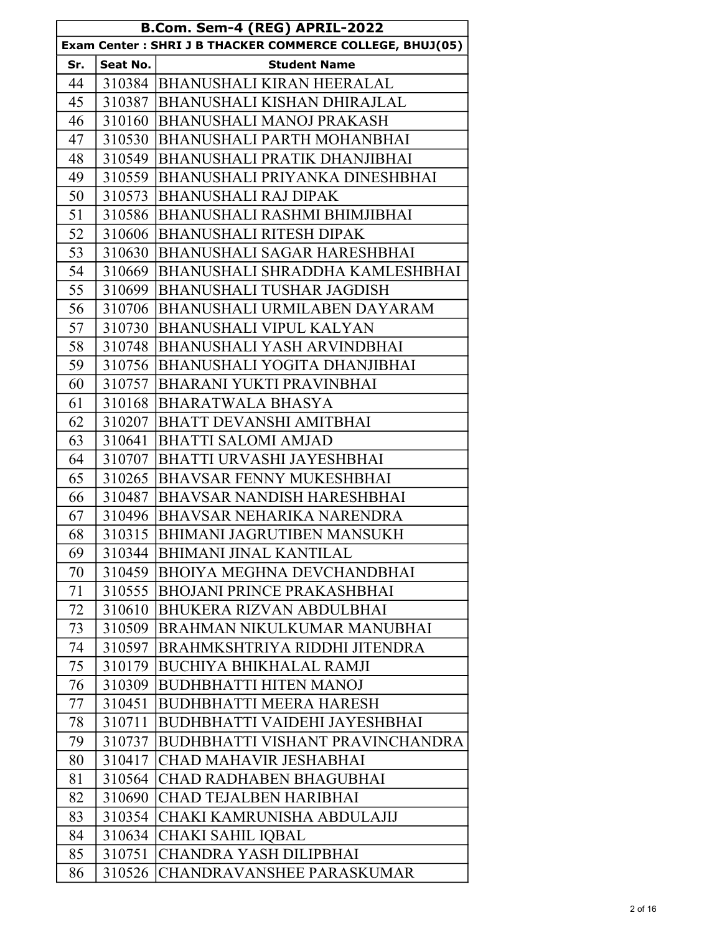| B.Com. Sem-4 (REG) APRIL-2022 |                                                          |                                         |  |
|-------------------------------|----------------------------------------------------------|-----------------------------------------|--|
|                               | Exam Center: SHRI J B THACKER COMMERCE COLLEGE, BHUJ(05) |                                         |  |
| Sr.                           | Seat No.                                                 | <b>Student Name</b>                     |  |
| 44                            |                                                          | 310384 BHANUSHALI KIRAN HEERALAL        |  |
| 45                            | 310387                                                   | <b>BHANUSHALI KISHAN DHIRAJLAL</b>      |  |
| 46                            | 310160                                                   | <b>BHANUSHALI MANOJ PRAKASH</b>         |  |
| 47                            |                                                          | 310530 BHANUSHALI PARTH MOHANBHAI       |  |
| 48                            | 310549                                                   | <b>BHANUSHALI PRATIK DHANJIBHAI</b>     |  |
| 49                            | 310559                                                   | BHANUSHALI PRIYANKA DINESHBHAI          |  |
| 50                            | 310573                                                   | <b>BHANUSHALI RAJ DIPAK</b>             |  |
| 51                            | 310586                                                   | <b>BHANUSHALI RASHMI BHIMJIBHAI</b>     |  |
| 52                            | 310606                                                   | BHANUSHALI RITESH DIPAK                 |  |
| 53                            | 310630                                                   | BHANUSHALI SAGAR HARESHBHAI             |  |
| 54                            | 310669                                                   | BHANUSHALI SHRADDHA KAMLESHBHAI         |  |
| 55                            | 310699                                                   | <b>BHANUSHALI TUSHAR JAGDISH</b>        |  |
| 56                            | 310706                                                   | BHANUSHALI URMILABEN DAYARAM            |  |
| 57                            | 310730                                                   | BHANUSHALI VIPUL KALYAN                 |  |
| 58                            | 310748                                                   | BHANUSHALI YASH ARVINDBHAI              |  |
| 59                            | 310756                                                   | BHANUSHALI YOGITA DHANJIBHAI            |  |
| 60                            | 310757                                                   | <b>BHARANI YUKTI PRAVINBHAI</b>         |  |
| 61                            | 310168                                                   | BHARATWALA BHASYA                       |  |
| 62                            | 310207                                                   | <b>BHATT DEVANSHI AMITBHAI</b>          |  |
| 63                            | 310641                                                   | <b>BHATTI SALOMI AMJAD</b>              |  |
| 64                            | 310707                                                   | BHATTI URVASHI JAYESHBHAI               |  |
| 65                            | 310265                                                   | <b>BHAVSAR FENNY MUKESHBHAI</b>         |  |
| 66                            | 310487                                                   | <b>BHAVSAR NANDISH HARESHBHAI</b>       |  |
| 67                            | 310496                                                   | BHAVSAR NEHARIKA NARENDRA               |  |
| 68                            | 310315                                                   | <b>BHIMANI JAGRUTIBEN MANSUKH</b>       |  |
| 69                            | 310344                                                   | <b>BHIMANI JINAL KANTILAL</b>           |  |
| 70                            | 310459                                                   | <b>BHOIYA MEGHNA DEVCHANDBHAI</b>       |  |
| 71                            | 310555                                                   | <b>BHOJANI PRINCE PRAKASHBHAI</b>       |  |
| 72                            | 310610                                                   | <b>BHUKERA RIZVAN ABDULBHAI</b>         |  |
| 73                            | 310509                                                   | BRAHMAN NIKULKUMAR MANUBHAI             |  |
| 74                            | 310597                                                   | BRAHMKSHTRIYA RIDDHI JITENDRA           |  |
| 75                            | 310179                                                   | <b>BUCHIYA BHIKHALAL RAMJI</b>          |  |
| 76                            | 310309                                                   | <b>BUDHBHATTI HITEN MANOJ</b>           |  |
| 77                            | 310451                                                   | <b>BUDHBHATTI MEERA HARESH</b>          |  |
| 78                            | 310711                                                   | BUDHBHATTI VAIDEHI JAYESHBHAI           |  |
| 79                            | 310737                                                   | <b>BUDHBHATTI VISHANT PRAVINCHANDRA</b> |  |
| 80                            | 310417                                                   | CHAD MAHAVIR JESHABHAI                  |  |
| 81                            | 310564                                                   | CHAD RADHABEN BHAGUBHAI                 |  |
| 82                            | 310690                                                   | <b>CHAD TEJALBEN HARIBHAI</b>           |  |
| 83                            | 310354                                                   | CHAKI KAMRUNISHA ABDULAJIJ              |  |
| 84                            | 310634                                                   | CHAKI SAHIL IQBAL                       |  |
| 85                            | 310751                                                   | CHANDRA YASH DILIPBHAI                  |  |
| 86                            | 310526                                                   | <b>CHANDRAVANSHEE PARASKUMAR</b>        |  |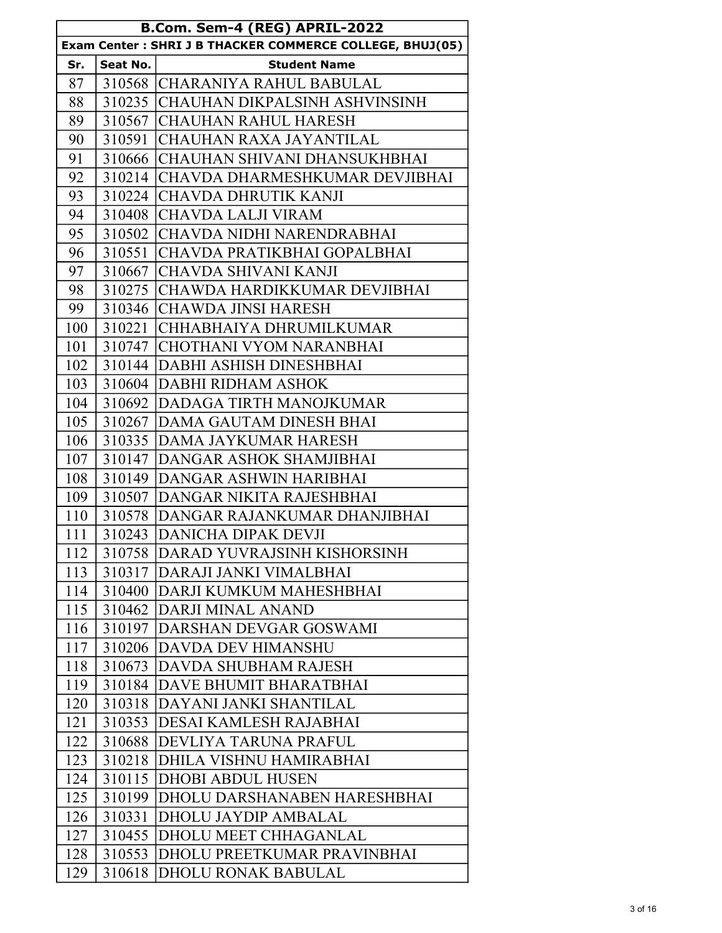| B.Com. Sem-4 (REG) APRIL-2022                            |          |                                      |
|----------------------------------------------------------|----------|--------------------------------------|
| Exam Center: SHRI J B THACKER COMMERCE COLLEGE, BHUJ(05) |          |                                      |
| Sr.                                                      | Seat No. | <b>Student Name</b>                  |
| 87                                                       |          | 310568 CHARANIYA RAHUL BABULAL       |
| 88                                                       |          | 310235 CHAUHAN DIKPALSINH ASHVINSINH |
| 89                                                       |          | 310567 CHAUHAN RAHUL HARESH          |
| 90                                                       |          | 310591 CHAUHAN RAXA JAYANTILAL       |
| 91                                                       | 310666   | İCHAUHAN SHIVANI DHANSUKHBHAI        |
| 92                                                       | 310214   | CHAVDA DHARMESHKUMAR DEVJIBHAI       |
| 93                                                       | 310224   | <b>CHAVDA DHRUTIK KANJI</b>          |
| 94                                                       | 310408   | <b>CHAVDA LALJI VIRAM</b>            |
| 95                                                       | 310502   | CHAVDA NIDHI NARENDRABHAI            |
| 96                                                       | 310551   | CHAVDA PRATIKBHAI GOPALBHAI          |
| 97                                                       | 310667   | CHAVDA SHIVANI KANJI                 |
| 98                                                       | 310275   | CHAWDA HARDIKKUMAR DEVJIBHAI         |
| 99                                                       | 310346   | CHAWDA JINSI HARESH                  |
| 100                                                      | 310221   | CHHABHAIYA DHRUMILKUMAR              |
| 101                                                      | 310747   | <b>CHOTHANI VYOM NARANBHAI</b>       |
| 102                                                      | 310144   | <b>DABHI ASHISH DINESHBHAI</b>       |
| 103                                                      |          | 310604 DABHI RIDHAM ASHOK            |
| 104                                                      | 310692   | <b>DADAGA TIRTH MANOJKUMAR</b>       |
| 105                                                      | 310267   | <b>DAMA GAUTAM DINESH BHAI</b>       |
| 106                                                      | 310335   | <b>DAMA JAYKUMAR HARESH</b>          |
| 107                                                      | 310147   | DANGAR ASHOK SHAMJIBHAI              |
| 108                                                      | 310149   | DANGAR ASHWIN HARIBHAI               |
| 109                                                      | 310507   | DANGAR NIKITA RAJESHBHAI             |
| 110                                                      | 310578   | DANGAR RAJANKUMAR DHANJIBHAI         |
| 111                                                      | 310243   | DANICHA DIPAK DEVJI                  |
| 112                                                      |          | 310758 DARAD YUVRAJSINH KISHORSINH   |
| 113                                                      |          | 310317 DARAJI JANKI VIMALBHAI        |
| 114                                                      |          | 310400 DARJI KUMKUM MAHESHBHAI       |
| 115                                                      |          | 310462 DARJI MINAL ANAND             |
| 116                                                      | 310197   | DARSHAN DEVGAR GOSWAMI               |
| 117                                                      | 310206   | <b>DAVDA DEV HIMANSHU</b>            |
| 118                                                      | 310673   | <b>DAVDA SHUBHAM RAJESH</b>          |
| 119                                                      | 310184   | <b>DAVE BHUMIT BHARATBHAI</b>        |
| 120                                                      | 310318   | DAYANI JANKI SHANTILAL               |
| 121                                                      | 310353   | DESAI KAMLESH RAJABHAI               |
| 122                                                      | 310688   | <b>DEVLIYA TARUNA PRAFUL</b>         |
| 123                                                      | 310218   | DHILA VISHNU HAMIRABHAI              |
| 124                                                      | 310115   | <b>DHOBI ABDUL HUSEN</b>             |
| 125                                                      | 310199   | DHOLU DARSHANABEN HARESHBHAI         |
| 126                                                      | 310331   | <b>DHOLU JAYDIP AMBALAL</b>          |
| 127                                                      | 310455   | DHOLU MEET CHHAGANLAL                |
| 128                                                      | 310553   | DHOLU PREETKUMAR PRAVINBHAI          |
| 129                                                      | 310618   | <b>DHOLU RONAK BABULAL</b>           |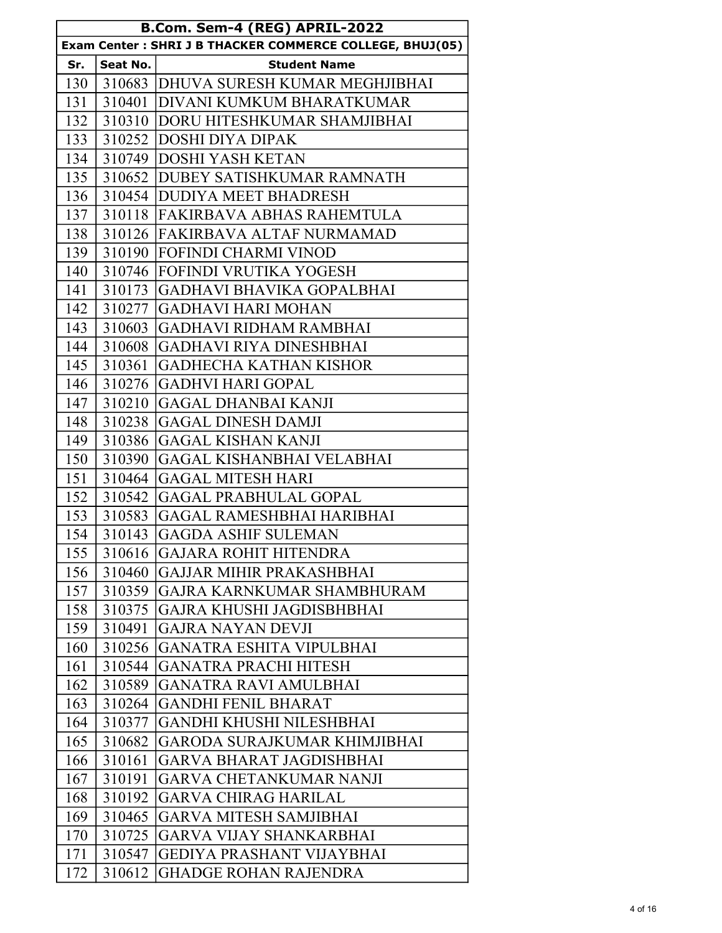| B.Com. Sem-4 (REG) APRIL-2022 |          |                                                          |
|-------------------------------|----------|----------------------------------------------------------|
|                               |          | Exam Center: SHRI J B THACKER COMMERCE COLLEGE, BHUJ(05) |
| Sr.                           | Seat No. | <b>Student Name</b>                                      |
| 130                           |          | 310683 DHUVA SURESH KUMAR MEGHJIBHAI                     |
| 131                           |          | 310401 DIVANI KUMKUM BHARATKUMAR                         |
| 132                           |          | 310310 DORU HITESHKUMAR SHAMJIBHAI                       |
| 133                           |          | 310252 DOSHI DIYA DIPAK                                  |
| 134                           |          | 310749 DOSHI YASH KETAN                                  |
| 135                           |          | 310652   DUBEY SATISHKUMAR RAMNATH                       |
| 136                           |          | 310454 DUDIYA MEET BHADRESH                              |
| 137                           |          | 310118 FAKIRBAVA ABHAS RAHEMTULA                         |
| 138                           |          | 310126 FAKIRBAVA ALTAF NURMAMAD                          |
| 139                           |          | 310190 FOFINDI CHARMI VINOD                              |
| 140                           |          | 310746 FOFINDI VRUTIKA YOGESH                            |
| 141                           | 310173   | GADHAVI BHAVIKA GOPALBHAI                                |
| 142                           |          | 310277 GADHAVI HARI MOHAN                                |
| 143                           | 310603   | <b>GADHAVI RIDHAM RAMBHAI</b>                            |
| 144                           | 310608   | GADHAVI RIYA DINESHBHAI                                  |
| 145                           | 310361   | GADHECHA KATHAN KISHOR                                   |
| 146                           | 310276   | <b>GADHVI HARI GOPAL</b>                                 |
| 147                           | 310210   | <b>GAGAL DHANBAI KANJI</b>                               |
| 148                           | 310238   | <b>GAGAL DINESH DAMJI</b>                                |
| 149                           | 310386   | <b>GAGAL KISHAN KANJI</b>                                |
| 150                           | 310390   | <b>GAGAL KISHANBHAI VELABHAI</b>                         |
| 151                           | 310464   | <b>GAGAL MITESH HARI</b>                                 |
| 152                           | 310542   | <b>GAGAL PRABHULAL GOPAL</b>                             |
| 153                           | 310583   | <b>GAGAL RAMESHBHAI HARIBHAI</b>                         |
| 154                           | 310143   | <b>GAGDA ASHIF SULEMAN</b>                               |
| 155                           | 310616   | <b>GAJARA ROHIT HITENDRA</b>                             |
| 156                           | 310460   | <b>GAJJAR MIHIR PRAKASHBHAI</b>                          |
| 157                           | 310359   | GAJRA KARNKUMAR SHAMBHURAM                               |
| 158                           | 310375   | GAJRA KHUSHI JAGDISBHBHAI                                |
| 159                           | 310491   | <b>GAJRA NAYAN DEVJI</b>                                 |
| 160                           | 310256   | <b>GANATRA ESHITA VIPULBHAI</b>                          |
| 161                           | 310544   | <b>GANATRA PRACHI HITESH</b>                             |
| 162                           | 310589   | <b>GANATRA RAVI AMULBHAI</b>                             |
| 163                           | 310264   | <b>GANDHI FENIL BHARAT</b>                               |
| 164                           | 310377   | GANDHI KHUSHI NILESHBHAI                                 |
| 165                           | 310682   | <b>GARODA SURAJKUMAR KHIMJIBHAI</b>                      |
| 166                           | 310161   | <b>GARVA BHARAT JAGDISHBHAI</b>                          |
| 167                           | 310191   | <b>GARVA CHETANKUMAR NANJI</b>                           |
| 168                           | 310192   | <b>GARVA CHIRAG HARILAL</b>                              |
| 169                           | 310465   | <b>GARVA MITESH SAMJIBHAI</b>                            |
| 170                           | 310725   | GARVA VIJAY SHANKARBHAI                                  |
| 171                           | 310547   | <b>GEDIYA PRASHANT VIJAYBHAI</b>                         |
| 172                           | 310612   | <b>GHADGE ROHAN RAJENDRA</b>                             |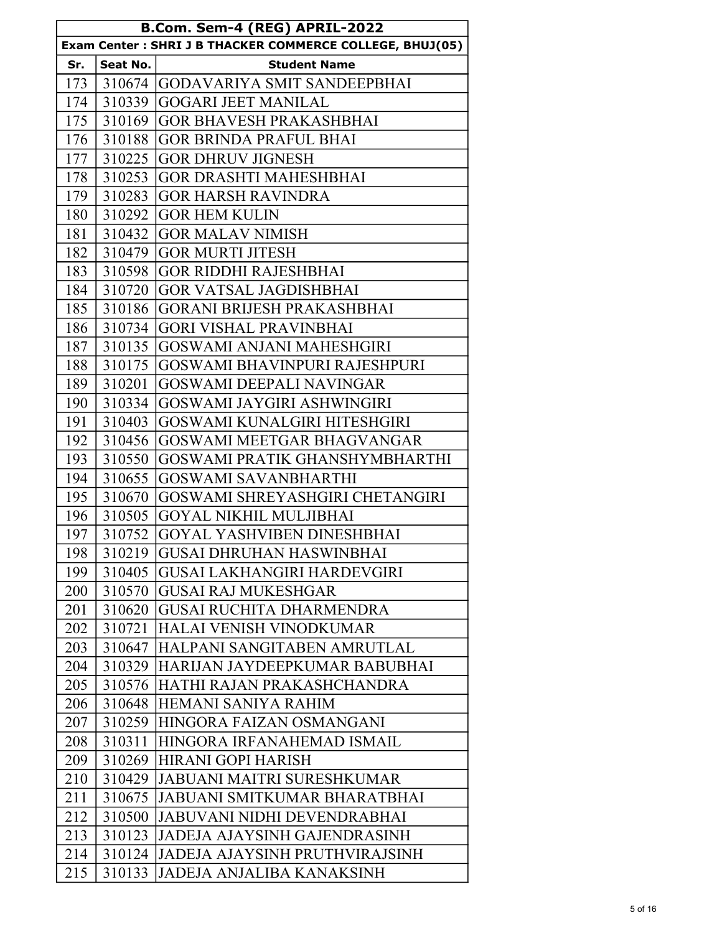| B.Com. Sem-4 (REG) APRIL-2022 |          |                                                          |
|-------------------------------|----------|----------------------------------------------------------|
|                               |          | Exam Center: SHRI J B THACKER COMMERCE COLLEGE, BHUJ(05) |
| Sr.                           | Seat No. | <b>Student Name</b>                                      |
| 173                           | 310674   | <b>GODAVARIYA SMIT SANDEEPBHAI</b>                       |
| 174                           | 310339   | <b>GOGARI JEET MANILAL</b>                               |
| 175                           | 310169   | <b>GOR BHAVESH PRAKASHBHAI</b>                           |
| 176                           | 310188   | <b>GOR BRINDA PRAFUL BHAI</b>                            |
| 177                           | 310225   | <b>GOR DHRUV JIGNESH</b>                                 |
| 178                           | 310253   | <b>GOR DRASHTI MAHESHBHAI</b>                            |
| 179                           | 310283   | <b>GOR HARSH RAVINDRA</b>                                |
| 180                           | 310292   | <b>GOR HEM KULIN</b>                                     |
| 181                           | 310432   | <b>GOR MALAV NIMISH</b>                                  |
| 182                           | 310479   | <b>GOR MURTI JITESH</b>                                  |
| 183                           | 310598   | <b>GOR RIDDHI RAJESHBHAI</b>                             |
| 184                           | 310720   | <b>GOR VATSAL JAGDISHBHAI</b>                            |
| 185                           | 310186   | <b>GORANI BRIJESH PRAKASHBHAI</b>                        |
| 186                           | 310734   | <b>GORI VISHAL PRAVINBHAI</b>                            |
| 187                           | 310135   | GOSWAMI ANJANI MAHESHGIRI                                |
| 188                           | 310175   | <b>GOSWAMI BHAVINPURI RAJESHPURI</b>                     |
| 189                           | 310201   | <b>GOSWAMI DEEPALI NAVINGAR</b>                          |
| 190                           | 310334   | GOSWAMI JAYGIRI ASHWINGIRI                               |
| 191                           | 310403   | <b>GOSWAMI KUNALGIRI HITESHGIRI</b>                      |
| 192                           | 310456   | GOSWAMI MEETGAR BHAGVANGAR                               |
| 193                           | 310550   | GOSWAMI PRATIK GHANSHYMBHARTHI                           |
| 194                           | 310655   | <b>GOSWAMI SAVANBHARTHI</b>                              |
| 195                           | 310670   | GOSWAMI SHREYASHGIRI CHETANGIRI                          |
| 196                           | 310505   | <b>GOYAL NIKHIL MULJIBHAI</b>                            |
| 197                           | 310752   | <b>GOYAL YASHVIBEN DINESHBHAI</b>                        |
| 198                           | 310219   | <b>GUSAI DHRUHAN HASWINBHAI</b>                          |
| 199                           | 310405   | GUSAI LAKHANGIRI HARDEVGIRI                              |
| 200                           | 310570   | <b>GUSAI RAJ MUKESHGAR</b>                               |
| 201                           | 310620   | <b>GUSAI RUCHITA DHARMENDRA</b>                          |
| 202                           | 310721   | HALAI VENISH VINODKUMAR                                  |
| 203                           |          | 310647 HALPANI SANGITABEN AMRUTLAL                       |
| 204                           |          | 310329 HARIJAN JAYDEEPKUMAR BABUBHAI                     |
| 205                           | 310576   | HATHI RAJAN PRAKASHCHANDRA                               |
| 206                           | 310648   | <b>HEMANI SANIYA RAHIM</b>                               |
| 207                           |          | 310259 HINGORA FAIZAN OSMANGANI                          |
| 208                           | 310311   | HINGORA IRFANAHEMAD ISMAIL                               |
| 209                           |          | 310269 HIRANI GOPI HARISH                                |
| 210                           |          | 310429 JABUANI MAITRI SURESHKUMAR                        |
| 211                           | 310675   | <b>JABUANI SMITKUMAR BHARATBHAI</b>                      |
| 212                           | 310500   | <b>JABUVANI NIDHI DEVENDRABHAI</b>                       |
| 213                           | 310123   | <b>JADEJA AJAYSINH GAJENDRASINH</b>                      |
| 214                           | 310124   | <b>JADEJA AJAYSINH PRUTHVIRAJSINH</b>                    |
| 215                           | 310133   | JADEJA ANJALIBA KANAKSINH                                |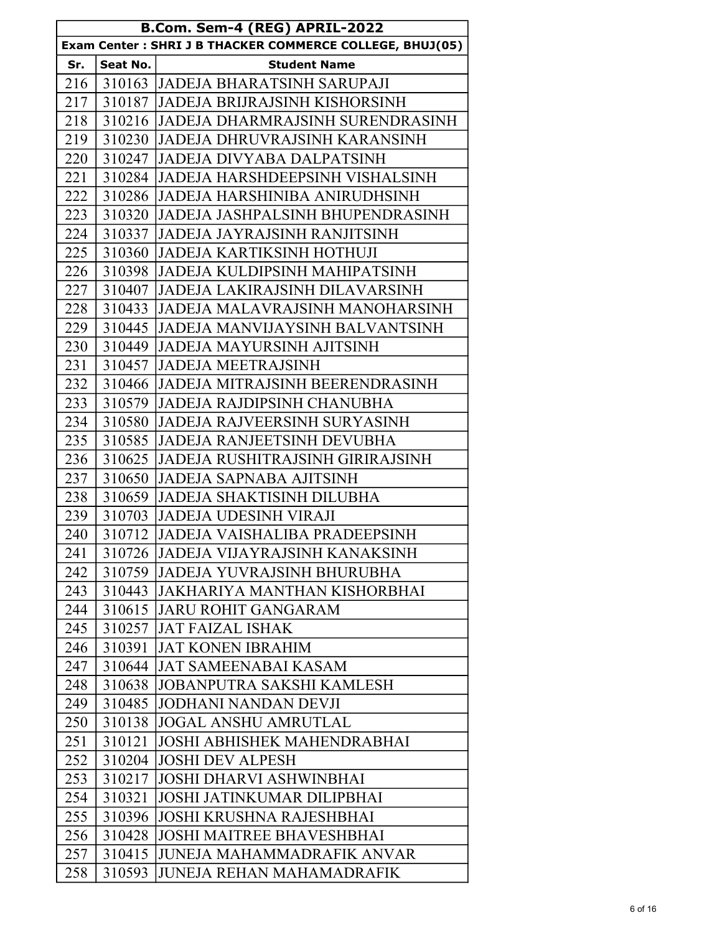| B.Com. Sem-4 (REG) APRIL-2022                            |          |                                         |
|----------------------------------------------------------|----------|-----------------------------------------|
| Exam Center: SHRI J B THACKER COMMERCE COLLEGE, BHUJ(05) |          |                                         |
| Sr.                                                      | Seat No. | <b>Student Name</b>                     |
| 216                                                      |          | 310163 JADEJA BHARATSINH SARUPAJI       |
| 217                                                      |          | 310187 JJADEJA BRIJRAJSINH KISHORSINH   |
| 218                                                      |          | 310216 JADEJA DHARMRAJSINH SURENDRASINH |
| 219                                                      |          | 310230 JADEJA DHRUVRAJSINH KARANSINH    |
| 220                                                      |          | 310247 JJADEJA DIVYABA DALPATSINH       |
| 221                                                      |          | 310284 JADEJA HARSHDEEPSINH VISHALSINH  |
| 222                                                      |          | 310286 JADEJA HARSHINIBA ANIRUDHSINH    |
| 223                                                      | 310320   | JADEJA JASHPALSINH BHUPENDRASINH        |
| 224                                                      |          | 310337 JJADEJA JAYRAJSINH RANJITSINH    |
| 225                                                      |          | 310360 JADEJA KARTIKSINH HOTHUJI        |
| 226                                                      | 310398   | JADEJA KULDIPSINH MAHIPATSINH           |
| 227                                                      | 310407   | <b>JADEJA LAKIRAJSINH DILAVARSINH</b>   |
| 228                                                      |          | 310433 JJADEJA MALAVRAJSINH MANOHARSINH |
| 229                                                      |          | 310445 JJADEJA MANVIJAYSINH BALVANTSINH |
| 230                                                      |          | 310449 JADEJA MAYURSINH AJITSINH        |
| 231                                                      |          | 310457 JADEJA MEETRAJSINH               |
| 232                                                      |          | 310466 JADEJA MITRAJSINH BEERENDRASINH  |
| 233                                                      |          | 310579 JADEJA RAJDIPSINH CHANUBHA       |
| 234                                                      |          | 310580 JADEJA RAJVEERSINH SURYASINH     |
| 235                                                      | 310585   | <b>JADEJA RANJEETSINH DEVUBHA</b>       |
| 236                                                      | 310625   | <b>JADEJA RUSHITRAJSINH GIRIRAJSINH</b> |
| 237                                                      | 310650   | <b>JADEJA SAPNABA AJITSINH</b>          |
| 238                                                      | 310659   | <b>JADEJA SHAKTISINH DILUBHA</b>        |
| 239                                                      | 310703   | JADEJA UDESINH VIRAJI                   |
| 240                                                      | 310712   | JADEJA VAISHALIBA PRADEEPSINH           |
| 241                                                      |          | 310726 JADEJA VIJAYRAJSINH KANAKSINH    |
| 242                                                      |          | 310759 JADEJA YUVRAJSINH BHURUBHA       |
| 243                                                      |          | 310443 JAKHARIYA MANTHAN KISHORBHAI     |
| 244                                                      |          | 310615 JARU ROHIT GANGARAM              |
| 245                                                      | 310257   | <b>JAT FAIZAL ISHAK</b>                 |
| 246                                                      | 310391   | <b>JAT KONEN IBRAHIM</b>                |
| 247                                                      | 310644   | <b>JAT SAMEENABAI KASAM</b>             |
| 248                                                      | 310638   | <b>JOBANPUTRA SAKSHI KAMLESH</b>        |
| 249                                                      | 310485   | <b>JODHANI NANDAN DEVJI</b>             |
| 250                                                      | 310138   | <b>JOGAL ANSHU AMRUTLAL</b>             |
| 251                                                      | 310121   | <b>JOSHI ABHISHEK MAHENDRABHAI</b>      |
| 252                                                      | 310204   | <b>JOSHI DEV ALPESH</b>                 |
| 253                                                      | 310217   | <b>JOSHI DHARVI ASHWINBHAI</b>          |
| 254                                                      | 310321   | <b>JOSHI JATINKUMAR DILIPBHAI</b>       |
| 255                                                      | 310396   | JOSHI KRUSHNA RAJESHBHAI                |
| 256                                                      | 310428   | <b>JOSHI MAITREE BHAVESHBHAI</b>        |
| 257                                                      | 310415   | JUNEJA MAHAMMADRAFIK ANVAR              |
| 258                                                      | 310593   | <b>JUNEJA REHAN MAHAMADRAFIK</b>        |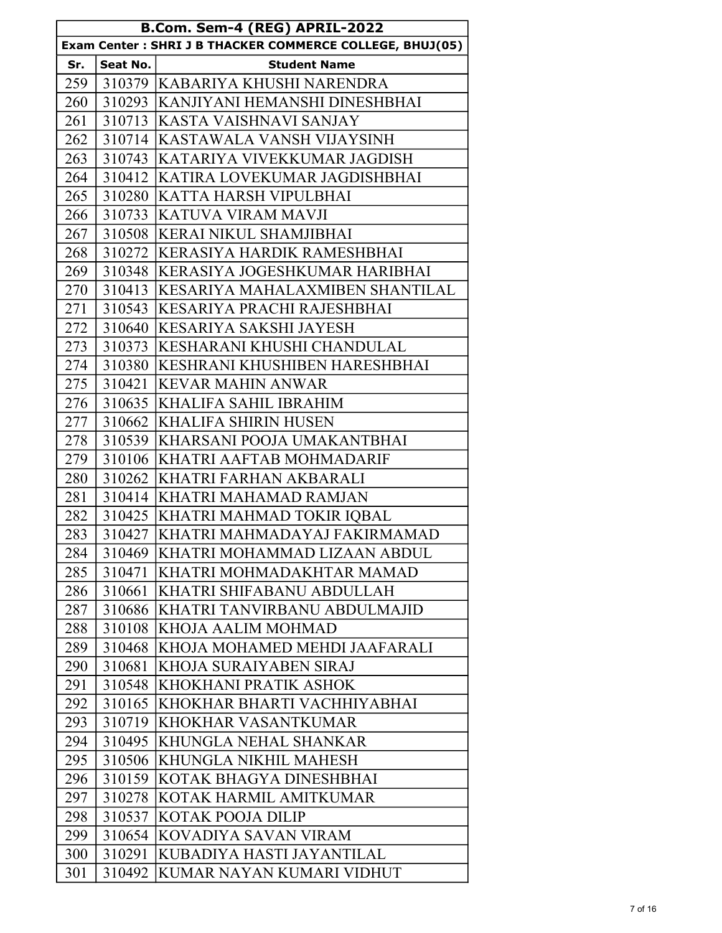| B.Com. Sem-4 (REG) APRIL-2022                            |          |                                      |
|----------------------------------------------------------|----------|--------------------------------------|
| Exam Center: SHRI J B THACKER COMMERCE COLLEGE, BHUJ(05) |          |                                      |
| Sr.                                                      | Seat No. | <b>Student Name</b>                  |
| 259                                                      |          | 310379  KABARIYA KHUSHI NARENDRA     |
| 260                                                      |          | 310293 KANJIYANI HEMANSHI DINESHBHAI |
| 261                                                      | 310713   | <b>KASTA VAISHNAVI SANJAY</b>        |
| 262                                                      |          | 310714 KASTAWALA VANSH VIJAYSINH     |
| 263                                                      |          | 310743 KATARIYA VIVEKKUMAR JAGDISH   |
| 264                                                      | 310412   | <b>KATIRA LOVEKUMAR JAGDISHBHAI</b>  |
| 265                                                      | 310280   | <b>KATTA HARSH VIPULBHAI</b>         |
| 266                                                      | 310733   | <b>IKATUVA VIRAM MAVJI</b>           |
| 267                                                      | 310508   | KERAI NIKUL SHAMJIBHAI               |
| 268                                                      | 310272   | <b>KERASIYA HARDIK RAMESHBHAI</b>    |
| 269                                                      | 310348   | <b>KERASIYA JOGESHKUMAR HARIBHAI</b> |
| 270                                                      | 310413   | IKESARIYA MAHALAXMIBEN SHANTILAL     |
| 271                                                      | 310543   | KESARIYA PRACHI RAJESHBHAI           |
| 272                                                      | 310640   | KESARIYA SAKSHI JAYESH               |
| 273                                                      | 310373   | KESHARANI KHUSHI CHANDULAL           |
| 274                                                      | 310380   | <b>KESHRANI KHUSHIBEN HARESHBHAI</b> |
| 275                                                      | 310421   | KEVAR MAHIN ANWAR                    |
| 276                                                      | 310635   | <b>KHALIFA SAHIL IBRAHIM</b>         |
| 277                                                      | 310662   | KHALIFA SHIRIN HUSEN                 |
| 278                                                      | 310539   | KHARSANI POOJA UMAKANTBHAI           |
| 279                                                      | 310106   | KHATRI AAFTAB MOHMADARIF             |
| 280                                                      | 310262   | KHATRI FARHAN AKBARALI               |
| 281                                                      | 310414   | <b>KHATRI MAHAMAD RAMJAN</b>         |
| 282                                                      | 310425   | <b>KHATRI MAHMAD TOKIR IQBAL</b>     |
| 283                                                      | 310427   | KHATRI MAHMADAYAJ FAKIRMAMAD         |
| 284                                                      | 310469   | <b>KHATRI MOHAMMAD LIZAAN ABDUL</b>  |
| 285                                                      | 310471   | KHATRI MOHMADAKHTAR MAMAD            |
| 286                                                      | 310661   | KHATRI SHIFABANU ABDULLAH            |
| 287                                                      | 310686   | KHATRI TANVIRBANU ABDULMAJID         |
| 288                                                      | 310108   | KHOJA AALIM MOHMAD                   |
| 289                                                      | 310468   | KHOJA MOHAMED MEHDI JAAFARALI        |
| 290                                                      | 310681   | KHOJA SURAIYABEN SIRAJ               |
| 291                                                      | 310548   | KHOKHANI PRATIK ASHOK                |
| 292                                                      | 310165   | KHOKHAR BHARTI VACHHIYABHAI          |
| 293                                                      | 310719   | <b>KHOKHAR VASANTKUMAR</b>           |
| 294                                                      | 310495   | KHUNGLA NEHAL SHANKAR                |
| 295                                                      | 310506   | KHUNGLA NIKHIL MAHESH                |
| 296                                                      | 310159   | KOTAK BHAGYA DINESHBHAI              |
| 297                                                      | 310278   | KOTAK HARMIL AMITKUMAR               |
| 298                                                      | 310537   | KOTAK POOJA DILIP                    |
| 299                                                      | 310654   | KOVADIYA SAVAN VIRAM                 |
| 300                                                      | 310291   | KUBADIYA HASTI JAYANTILAL            |
| 301                                                      | 310492   | KUMAR NAYAN KUMARI VIDHUT            |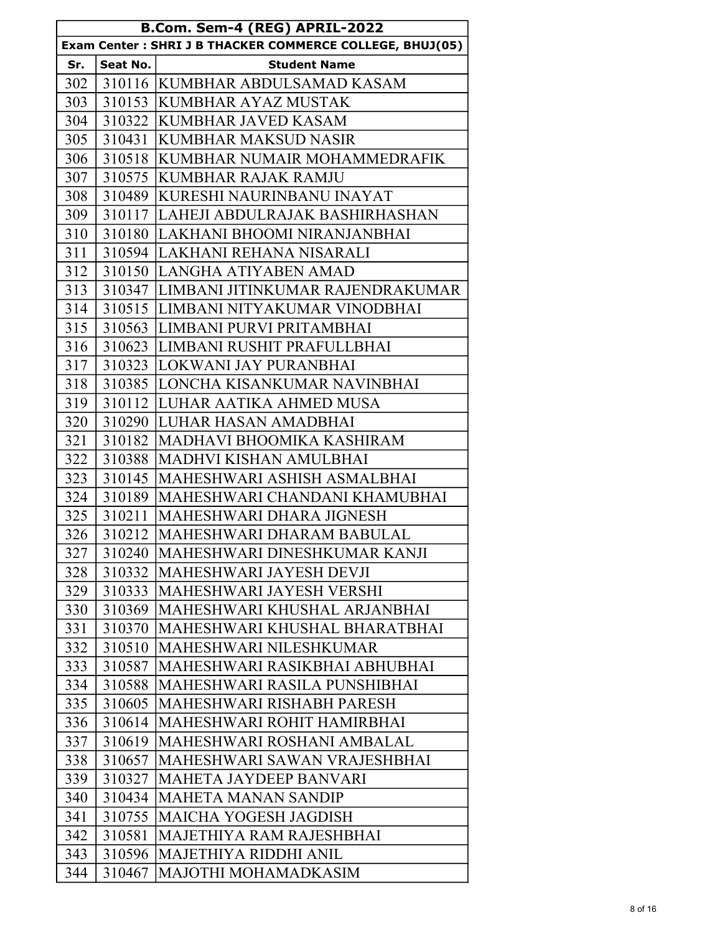| B.Com. Sem-4 (REG) APRIL-2022                            |          |                                         |
|----------------------------------------------------------|----------|-----------------------------------------|
| Exam Center: SHRI J B THACKER COMMERCE COLLEGE, BHUJ(05) |          |                                         |
| Sr.                                                      | Seat No. | <b>Student Name</b>                     |
| 302                                                      |          | 310116 KUMBHAR ABDULSAMAD KASAM         |
| 303                                                      | 310153   | <b>KUMBHAR AYAZ MUSTAK</b>              |
| 304                                                      |          | 310322 KUMBHAR JAVED KASAM              |
| 305                                                      | 310431   | <b>KUMBHAR MAKSUD NASIR</b>             |
| 306                                                      | 310518   | KUMBHAR NUMAIR MOHAMMEDRAFIK            |
| 307                                                      | 310575   | <b>KUMBHAR RAJAK RAMJU</b>              |
| 308                                                      |          | 310489 KURESHI NAURINBANU INAYAT        |
| 309                                                      | 310117   | LAHEJI ABDULRAJAK BASHIRHASHAN          |
| 310                                                      |          | 310180 LAKHANI BHOOMI NIRANJANBHAI      |
| 311                                                      |          | 310594 LAKHANI REHANA NISARALI          |
| 312                                                      |          | 310150 LANGHA ATIYABEN AMAD             |
| 313                                                      |          | 310347 LIMBANI JITINKUMAR RAJENDRAKUMAR |
| 314                                                      |          | 310515 LIMBANI NITYAKUMAR VINODBHAI     |
| 315                                                      | 310563   | LIMBANI PURVI PRITAMBHAI                |
| 316                                                      |          | 310623 LIMBANI RUSHIT PRAFULLBHAI       |
| 317                                                      |          | 310323 LOKWANI JAY PURANBHAI            |
| 318                                                      | 310385   | LONCHA KISANKUMAR NAVINBHAI             |
| 319                                                      |          | 310112 LUHAR AATIKA AHMED MUSA          |
| 320                                                      |          | 310290 LUHAR HASAN AMADBHAI             |
| 321                                                      | 310182   | MADHAVI BHOOMIKA KASHIRAM               |
| 322                                                      | 310388   | MADHVI KISHAN AMULBHAI                  |
| 323                                                      |          | 310145  MAHESHWARI ASHISH ASMALBHAI     |
| 324                                                      | 310189   | MAHESHWARI CHANDANI KHAMUBHAI           |
| 325                                                      | 310211   | <b>MAHESHWARI DHARA JIGNESH</b>         |
| 326                                                      |          | 310212   MAHESHWARI DHARAM BABULAL      |
| 327                                                      | 310240   | MAHESHWARI DINESHKUMAR KANJI            |
| 328                                                      | 310332   | MAHESHWARI JAYESH DEVJI                 |
| 329                                                      | 310333   | <b>MAHESHWARI JAYESH VERSHI</b>         |
| 330                                                      | 310369   | MAHESHWARI KHUSHAL ARJANBHAI            |
| 331                                                      | 310370   | MAHESHWARI KHUSHAL BHARATBHAI           |
| 332                                                      | 310510   | MAHESHWARI NILESHKUMAR                  |
| 333                                                      | 310587   | MAHESHWARI RASIKBHAI ABHUBHAI           |
| 334                                                      | 310588   | MAHESHWARI RASILA PUNSHIBHAI            |
| 335                                                      | 310605   | <b>MAHESHWARI RISHABH PARESH</b>        |
| 336                                                      | 310614   | MAHESHWARI ROHIT HAMIRBHAI              |
| 337                                                      | 310619   | <b>MAHESHWARI ROSHANI AMBALAL</b>       |
| 338                                                      | 310657   | MAHESHWARI SAWAN VRAJESHBHAI            |
| 339                                                      | 310327   | <b>MAHETA JAYDEEP BANVARI</b>           |
| 340                                                      | 310434   | <b>MAHETA MANAN SANDIP</b>              |
| 341                                                      | 310755   | MAICHA YOGESH JAGDISH                   |
| 342                                                      | 310581   | MAJETHIYA RAM RAJESHBHAI                |
| 343                                                      | 310596   | MAJETHIYA RIDDHI ANIL                   |
| 344                                                      | 310467   | MAJOTHI MOHAMADKASIM                    |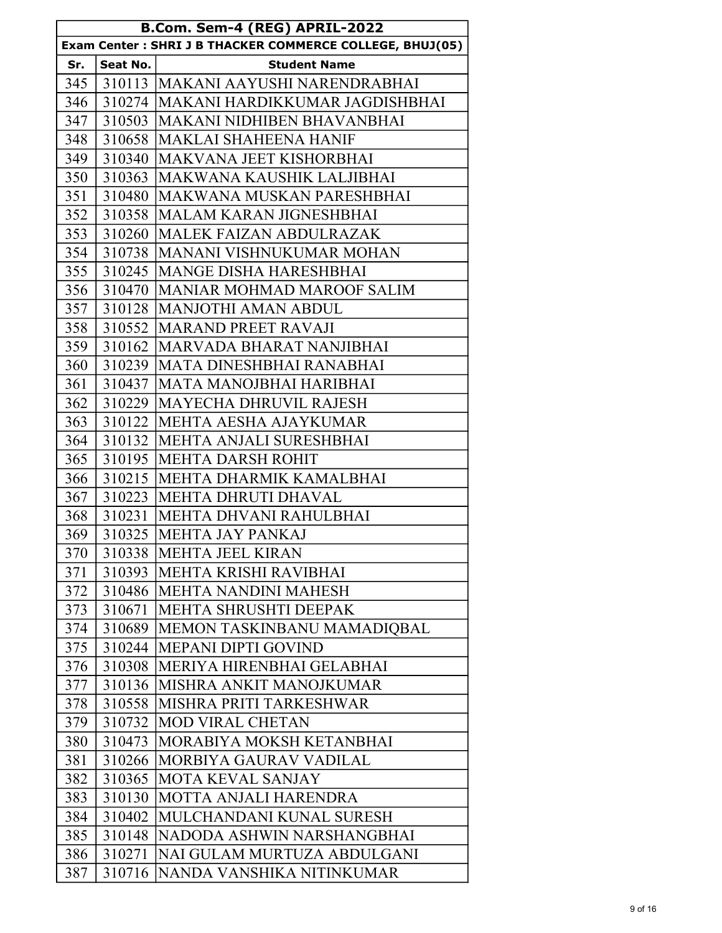| B.Com. Sem-4 (REG) APRIL-2022 |          |                                                          |
|-------------------------------|----------|----------------------------------------------------------|
|                               |          | Exam Center: SHRI J B THACKER COMMERCE COLLEGE, BHUJ(05) |
| Sr.                           | Seat No. | <b>Student Name</b>                                      |
| 345                           |          | 310113  MAKANI AAYUSHI NARENDRABHAI                      |
| 346                           |          | 310274 MAKANI HARDIKKUMAR JAGDISHBHAI                    |
| 347                           | 310503   | <b>MAKANI NIDHIBEN BHAVANBHAI</b>                        |
| 348                           |          | 310658   MAKLAI SHAHEENA HANIF                           |
| 349                           | 310340   | <b>MAKVANA JEET KISHORBHAI</b>                           |
| 350                           | 310363   | MAKWANA KAUSHIK LALJIBHAI                                |
| 351                           |          | 310480 MAKWANA MUSKAN PARESHBHAI                         |
| 352                           |          | 310358   MALAM KARAN JIGNESHBHAI                         |
| 353                           | 310260   | MALEK FAIZAN ABDULRAZAK                                  |
| 354                           | 310738   | <b>MANANI VISHNUKUMAR MOHAN</b>                          |
| 355                           | 310245   | <b>MANGE DISHA HARESHBHAI</b>                            |
| 356                           | 310470   | <b>IMANIAR MOHMAD MAROOF SALIM</b>                       |
| 357                           | 310128   | <b>MANJOTHI AMAN ABDUL</b>                               |
| 358                           | 310552   | <b>MARAND PREET RAVAJI</b>                               |
| 359                           | 310162   | MARVADA BHARAT NANJIBHAI                                 |
| 360                           | 310239   | <b>MATA DINESHBHAI RANABHAI</b>                          |
| 361                           | 310437   | <b>MATA MANOJBHAI HARIBHAI</b>                           |
| 362                           | 310229   | <b>IMAYECHA DHRUVIL RAJESH</b>                           |
| 363                           | 310122   | <b>MEHTA AESHA AJAYKUMAR</b>                             |
| 364                           | 310132   | <b>IMEHTA ANJALI SURESHBHAI</b>                          |
| 365                           | 310195   | <b>IMEHTA DARSH ROHIT</b>                                |
| 366                           | 310215   | <b>MEHTA DHARMIK KAMALBHAI</b>                           |
| 367                           | 310223   | IMEHTA DHRUTI DHAVAL                                     |
| 368                           | 310231   | MEHTA DHVANI RAHULBHAI                                   |
| 369                           | 310325   | <b>MEHTA JAY PANKAJ</b>                                  |
| 370                           |          | 310338   MEHTA JEEL KIRAN                                |
| 371                           | 310393   | <b>MEHTA KRISHI RAVIBHAI</b>                             |
| 372                           | 310486   | <b>MEHTA NANDINI MAHESH</b>                              |
| 373                           | 310671   | MEHTA SHRUSHTI DEEPAK                                    |
| 374                           | 310689   | MEMON TASKINBANU MAMADIOBAL                              |
| 375                           | 310244   | <b>MEPANI DIPTI GOVIND</b>                               |
| 376                           | 310308   | MERIYA HIRENBHAI GELABHAI                                |
| 377                           | 310136   | MISHRA ANKIT MANOJKUMAR                                  |
| 378                           | 310558   | MISHRA PRITI TARKESHWAR                                  |
| 379                           | 310732   | <b>MOD VIRAL CHETAN</b>                                  |
| 380                           | 310473   | MORABIYA MOKSH KETANBHAI                                 |
| 381                           | 310266   | MORBIYA GAURAV VADILAL                                   |
| 382                           | 310365   | <b>MOTA KEVAL SANJAY</b>                                 |
| 383                           | 310130   | MOTTA ANJALI HARENDRA                                    |
| 384                           | 310402   | MULCHANDANI KUNAL SURESH                                 |
| 385                           | 310148   | NADODA ASHWIN NARSHANGBHAI                               |
| 386                           | 310271   | NAI GULAM MURTUZA ABDULGANI                              |
| 387                           | 310716   | <b>NANDA VANSHIKA NITINKUMAR</b>                         |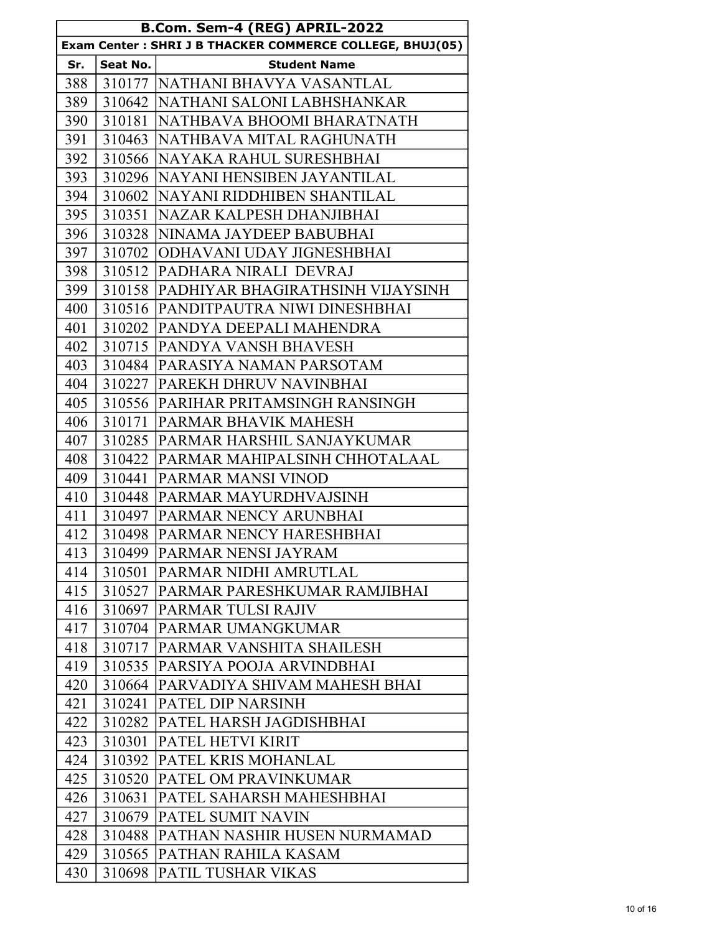| B.Com. Sem-4 (REG) APRIL-2022 |          |                                                          |
|-------------------------------|----------|----------------------------------------------------------|
|                               |          | Exam Center: SHRI J B THACKER COMMERCE COLLEGE, BHUJ(05) |
| Sr.                           | Seat No. | <b>Student Name</b>                                      |
| 388                           |          | 310177   NATHANI BHAVYA VASANTLAL                        |
| 389                           |          | 310642 INATHANI SALONI LABHSHANKAR                       |
| 390                           | 310181   | <b>NATHBAVA BHOOMI BHARATNATH</b>                        |
| 391                           |          | 310463 NATHBAVA MITAL RAGHUNATH                          |
| 392                           |          | 310566 NAYAKA RAHUL SURESHBHAI                           |
| 393                           | 310296   | <b>NAYANI HENSIBEN JAYANTILAL</b>                        |
| 394                           |          | 310602 NAYANI RIDDHIBEN SHANTILAL                        |
| 395                           | 310351   | <b>NAZAR KALPESH DHANJIBHAI</b>                          |
| 396                           |          | 310328 NINAMA JAYDEEP BABUBHAI                           |
| 397                           | 310702   | <b>ODHAVANI UDAY JIGNESHBHAI</b>                         |
| 398                           | 310512   | <b>PADHARA NIRALI DEVRAJ</b>                             |
| 399                           |          | 310158 PADHIYAR BHAGIRATHSINH VIJAYSINH                  |
| 400                           |          | 310516 PANDITPAUTRA NIWI DINESHBHAI                      |
| 401                           | 310202   | <b>PANDYA DEEPALI MAHENDRA</b>                           |
| 402                           |          | 310715 PANDYA VANSH BHAVESH                              |
| 403                           |          | 310484   PARASIYA NAMAN PARSOTAM                         |
| 404                           | 310227   | <b>PAREKH DHRUV NAVINBHAI</b>                            |
| 405                           |          | 310556 PARIHAR PRITAMSINGH RANSINGH                      |
| 406                           | 310171   | <b>PARMAR BHAVIK MAHESH</b>                              |
| 407                           | 310285   | PARMAR HARSHIL SANJAYKUMAR                               |
| 408                           |          | 310422 PARMAR MAHIPALSINH CHHOTALAAL                     |
| 409                           |          | 310441   PARMAR MANSI VINOD                              |
| 410                           | 310448   | <b>PARMAR MAYURDHVAJSINH</b>                             |
| 411                           |          | 310497 PARMAR NENCY ARUNBHAI                             |
| 412                           |          | 310498 PARMAR NENCY HARESHBHAI                           |
| 413                           |          | 310499   PARMAR NENSI JAYRAM                             |
| 414                           | 310501   | <b>PARMAR NIDHI AMRUTLAL</b>                             |
| 415                           |          | 310527   PARMAR PARESHKUMAR RAMJIBHAI                    |
| 416                           |          | 310697   PARMAR TULSI RAJIV                              |
| 417                           |          | 310704 PARMAR UMANGKUMAR                                 |
| 418                           |          | 310717 PARMAR VANSHITA SHAILESH                          |
| 419                           |          | 310535  PARSIYA POOJA ARVINDBHAI                         |
| 420                           | 310664   | <b>PARVADIYA SHIVAM MAHESH BHAI</b>                      |
| 421                           | 310241   | <b>PATEL DIP NARSINH</b>                                 |
| 422                           | 310282   | <b>PATEL HARSH JAGDISHBHAI</b>                           |
| 423                           | 310301   | <b>PATEL HETVI KIRIT</b>                                 |
| 424                           | 310392   | <b>PATEL KRIS MOHANLAL</b>                               |
| 425                           | 310520   | <b>PATEL OM PRAVINKUMAR</b>                              |
| 426                           | 310631   | PATEL SAHARSH MAHESHBHAI                                 |
| 427                           |          | 310679   PATEL SUMIT NAVIN                               |
| 428                           | 310488   | PATHAN NASHIR HUSEN NURMAMAD                             |
| 429                           | 310565   | PATHAN RAHILA KASAM                                      |
| 430                           | 310698   | PATIL TUSHAR VIKAS                                       |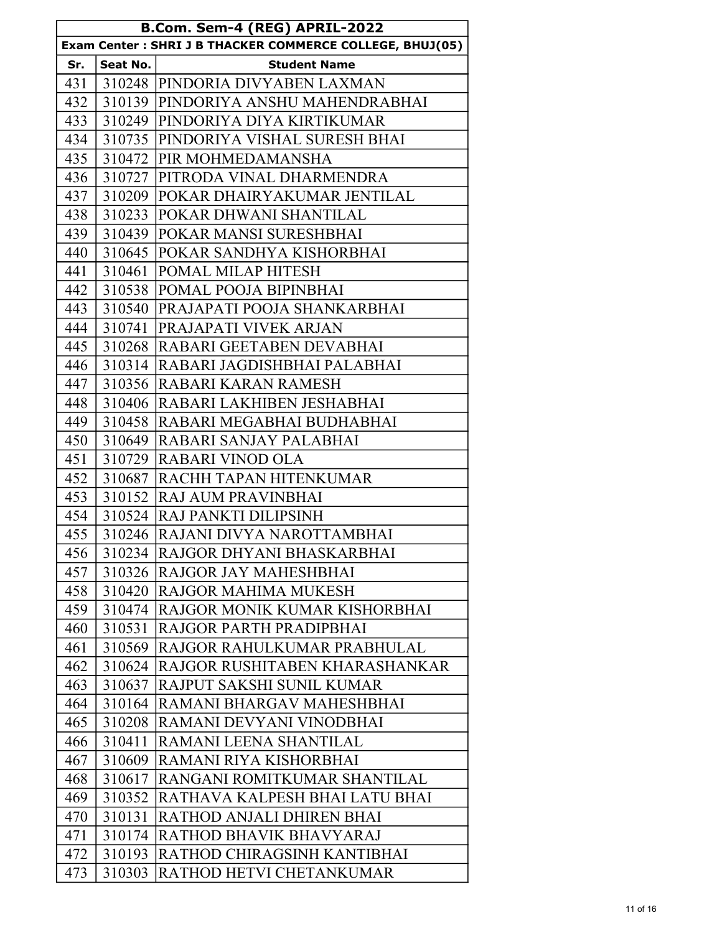|            |                    | B.Com. Sem-4 (REG) APRIL-2022                            |
|------------|--------------------|----------------------------------------------------------|
|            |                    | Exam Center: SHRI J B THACKER COMMERCE COLLEGE, BHUJ(05) |
| Sr.<br>431 | Seat No.<br>310248 | <b>Student Name</b><br><b>PINDORIA DIVYABEN LAXMAN</b>   |
| 432        | 310139             | PINDORIYA ANSHU MAHENDRABHAI                             |
| 433        |                    | 310249 PINDORIYA DIYA KIRTIKUMAR                         |
| 434        |                    | 310735 PINDORIYA VISHAL SURESH BHAI                      |
| 435        | 310472             | PIR MOHMEDAMANSHA                                        |
| 436        | 310727             | PITRODA VINAL DHARMENDRA                                 |
| 437        | 310209             | <b>POKAR DHAIRYAKUMAR JENTILAL</b>                       |
| 438        | 310233             | POKAR DHWANI SHANTILAL                                   |
| 439        | 310439             | POKAR MANSI SURESHBHAI                                   |
| 440        | 310645             | <b>POKAR SANDHYA KISHORBHAI</b>                          |
| 441        | 310461             | POMAL MILAP HITESH                                       |
| 442        | 310538             | POMAL POOJA BIPINBHAI                                    |
| 443        | 310540             | <b>PRAJAPATI POOJA SHANKARBHAI</b>                       |
| 444        | 310741             | PRAJAPATI VIVEK ARJAN                                    |
| 445        | 310268             | RABARI GEETABEN DEVABHAI                                 |
| 446        | 310314             | <b>RABARI JAGDISHBHAI PALABHAI</b>                       |
| 447        |                    | 310356 RABARI KARAN RAMESH                               |
| 448        | 310406             | <b>RABARI LAKHIBEN JESHABHAI</b>                         |
| 449        | 310458             | RABARI MEGABHAI BUDHABHAI                                |
| 450        | 310649             | RABARI SANJAY PALABHAI                                   |
| 451        | 310729             | RABARI VINOD OLA                                         |
| 452        | 310687             | <b>RACHH TAPAN HITENKUMAR</b>                            |
| 453        |                    | 310152 RAJ AUM PRAVINBHAI                                |
| 454        | 310524             | <b>RAJ PANKTI DILIPSINH</b>                              |
| 455        |                    | 310246 RAJANI DIVYA NAROTTAMBHAI                         |
| 456        |                    | 310234 RAJGOR DHYANI BHASKARBHAI                         |
| 457        | 310326             | RAJGOR JAY MAHESHBHAI                                    |
| 458        | 310420             | RAJGOR MAHIMA MUKESH                                     |
| 459        | 310474             | RAJGOR MONIK KUMAR KISHORBHAI                            |
| 460        | 310531             | RAJGOR PARTH PRADIPBHAI                                  |
| 461        | 310569             | RAJGOR RAHULKUMAR PRABHULAL                              |
| 462        | 310624             | RAJGOR RUSHITABEN KHARASHANKAR                           |
| 463        | 310637             | RAJPUT SAKSHI SUNIL KUMAR                                |
| 464        | 310164             | RAMANI BHARGAV MAHESHBHAI                                |
| 465        | 310208             | RAMANI DEVYANI VINODBHAI                                 |
| 466        | 310411             | RAMANI LEENA SHANTILAL                                   |
| 467        | 310609             | RAMANI RIYA KISHORBHAI                                   |
| 468        | 310617             | RANGANI ROMITKUMAR SHANTILAL                             |
| 469        | 310352             | RATHAVA KALPESH BHAI LATU BHAI                           |
| 470        | 310131             | RATHOD ANJALI DHIREN BHAI                                |
| 471        | 310174             | RATHOD BHAVIK BHAVYARAJ                                  |
| 472        | 310193             | RATHOD CHIRAGSINH KANTIBHAI                              |
| 473        | 310303             | RATHOD HETVI CHETANKUMAR                                 |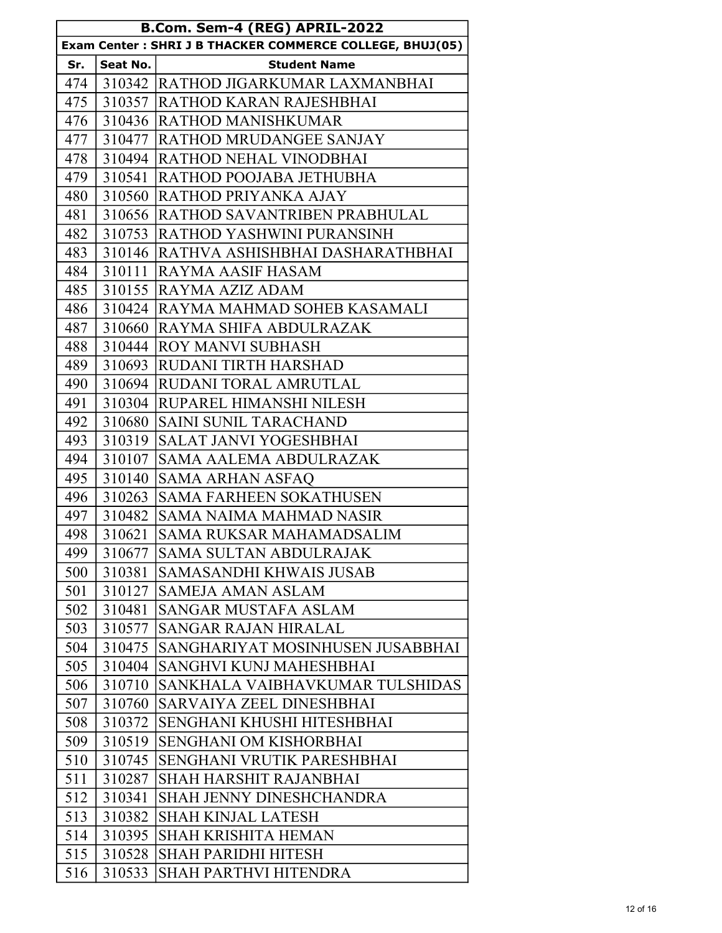| B.Com. Sem-4 (REG) APRIL-2022                            |          |                                        |
|----------------------------------------------------------|----------|----------------------------------------|
| Exam Center: SHRI J B THACKER COMMERCE COLLEGE, BHUJ(05) |          |                                        |
| Sr.                                                      | Seat No. | <b>Student Name</b>                    |
| 474                                                      |          | 310342 RATHOD JIGARKUMAR LAXMANBHAI    |
| 475                                                      |          | 310357  RATHOD KARAN RAJESHBHAI        |
| 476                                                      | 310436   | <b>RATHOD MANISHKUMAR</b>              |
| 477                                                      | 310477   | <b>RATHOD MRUDANGEE SANJAY</b>         |
| 478                                                      | 310494   | <b>RATHOD NEHAL VINODBHAI</b>          |
| 479                                                      | 310541   | RATHOD POOJABA JETHUBHA                |
| 480                                                      | 310560   | <b>RATHOD PRIYANKA AJAY</b>            |
| 481                                                      | 310656   | <b>RATHOD SAVANTRIBEN PRABHULAL</b>    |
| 482                                                      | 310753   | <b>RATHOD YASHWINI PURANSINH</b>       |
| 483                                                      | 310146   | <b>RATHVA ASHISHBHAI DASHARATHBHAI</b> |
| 484                                                      | 310111   | RAYMA AASIF HASAM                      |
| 485                                                      | 310155   | <b>RAYMA AZIZ ADAM</b>                 |
| 486                                                      | 310424   | <b>RAYMA MAHMAD SOHEB KASAMALI</b>     |
| 487                                                      | 310660   | RAYMA SHIFA ABDULRAZAK                 |
| 488                                                      | 310444   | <b>ROY MANVI SUBHASH</b>               |
| 489                                                      | 310693   | <b>RUDANI TIRTH HARSHAD</b>            |
| 490                                                      | 310694   | <b>RUDANI TORAL AMRUTLAL</b>           |
| 491                                                      | 310304   | <b>RUPAREL HIMANSHI NILESH</b>         |
| 492                                                      | 310680   | <b>SAINI SUNIL TARACHAND</b>           |
| 493                                                      | 310319   | <b>SALAT JANVI YOGESHBHAI</b>          |
| 494                                                      | 310107   | SAMA AALEMA ABDULRAZAK                 |
| 495                                                      | 310140   | <b>SAMA ARHAN ASFAO</b>                |
| 496                                                      | 310263   | <b>SAMA FARHEEN SOKATHUSEN</b>         |
| 497                                                      | 310482   | SAMA NAIMA MAHMAD NASIR                |
| 498                                                      | 310621   | <b>SAMA RUKSAR MAHAMADSALIM</b>        |
| 499                                                      | 310677   | <b>SAMA SULTAN ABDULRAJAK</b>          |
| 500                                                      | 310381   | <b>SAMASANDHI KHWAIS JUSAB</b>         |
| 501                                                      | 310127   | <b>SAMEJA AMAN ASLAM</b>               |
| 502                                                      | 310481   | <b>SANGAR MUSTAFA ASLAM</b>            |
| 503                                                      | 310577   | <b>SANGAR RAJAN HIRALAL</b>            |
| 504                                                      | 310475   | SANGHARIYAT MOSINHUSEN JUSABBHAI       |
| 505                                                      | 310404   | SANGHVI KUNJ MAHESHBHAI                |
| 506                                                      | 310710   | SANKHALA VAIBHAVKUMAR TULSHIDAS        |
| 507                                                      | 310760   | SARVAIYA ZEEL DINESHBHAI               |
| 508                                                      | 310372   | SENGHANI KHUSHI HITESHBHAI             |
| 509                                                      | 310519   | SENGHANI OM KISHORBHAI                 |
| 510                                                      | 310745   | SENGHANI VRUTIK PARESHBHAI             |
| 511                                                      | 310287   | SHAH HARSHIT RAJANBHAI                 |
| 512                                                      | 310341   | <b>SHAH JENNY DINESHCHANDRA</b>        |
| 513                                                      | 310382   | <b>SHAH KINJAL LATESH</b>              |
| 514                                                      | 310395   | <b>SHAH KRISHITA HEMAN</b>             |
| 515                                                      | 310528   | <b>SHAH PARIDHI HITESH</b>             |
| 516                                                      | 310533   | <b>SHAH PARTHVI HITENDRA</b>           |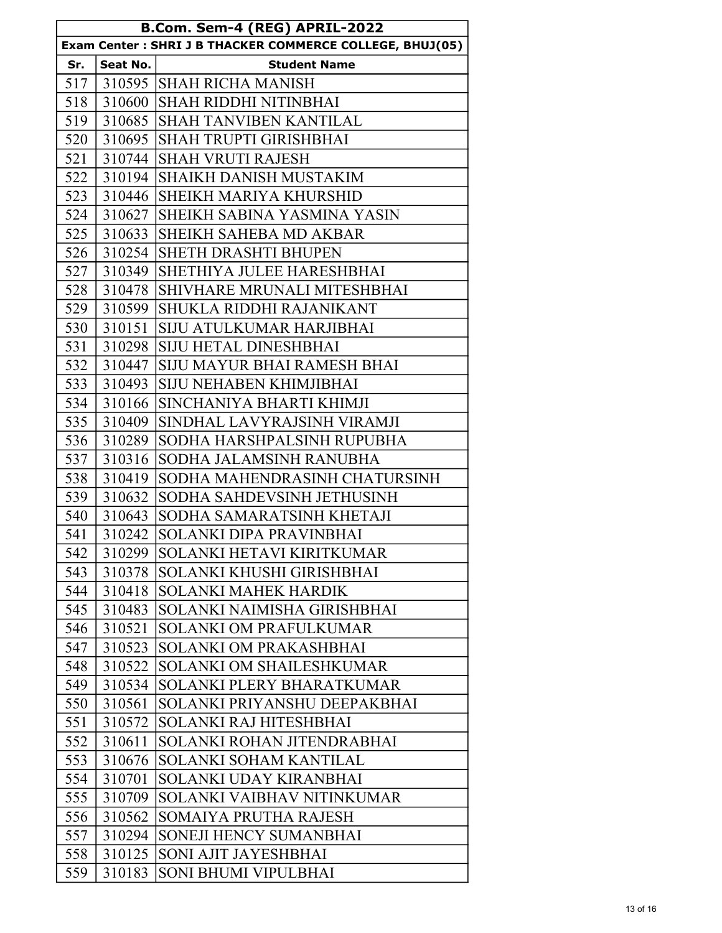| B.Com. Sem-4 (REG) APRIL-2022                            |          |                                     |  |  |
|----------------------------------------------------------|----------|-------------------------------------|--|--|
| Exam Center: SHRI J B THACKER COMMERCE COLLEGE, BHUJ(05) |          |                                     |  |  |
| Sr.                                                      | Seat No. | <b>Student Name</b>                 |  |  |
|                                                          |          | 517   310595   SHAH RICHA MANISH    |  |  |
| 518                                                      |          | 310600 SHAH RIDDHI NITINBHAI        |  |  |
| 519                                                      |          | 310685 SHAH TANVIBEN KANTILAL       |  |  |
| 520                                                      |          | 310695  SHAH TRUPTI GIRISHBHAI      |  |  |
| 521                                                      |          | 310744 SHAH VRUTI RAJESH            |  |  |
| 522                                                      |          | 310194 SHAIKH DANISH MUSTAKIM       |  |  |
| 523                                                      |          | 310446  SHEIKH MARIYA KHURSHID      |  |  |
| 524                                                      | 310627   | SHEIKH SABINA YASMINA YASIN         |  |  |
| 525                                                      |          | 310633 SHEIKH SAHEBA MD AKBAR       |  |  |
| 526                                                      |          | 310254  SHETH DRASHTI BHUPEN        |  |  |
| 527                                                      | 310349   | SHETHIYA JULEE HARESHBHAI           |  |  |
| 528                                                      | 310478   | SHIVHARE MRUNALI MITESHBHAI         |  |  |
| 529                                                      | 310599   | <b>SHUKLA RIDDHI RAJANIKANT</b>     |  |  |
| 530                                                      | 310151   | <b>SIJU ATULKUMAR HARJIBHAI</b>     |  |  |
| 531                                                      | 310298   | <b>SIJU HETAL DINESHBHAI</b>        |  |  |
| 532                                                      |          | 310447  SIJU MAYUR BHAI RAMESH BHAI |  |  |
| 533                                                      | 310493   | <b>SIJU NEHABEN KHIMJIBHAI</b>      |  |  |
| 534                                                      | 310166   | SINCHANIYA BHARTI KHIMJI            |  |  |
| 535                                                      | 310409   | SINDHAL LAVYRAJSINH VIRAMJI         |  |  |
| 536                                                      | 310289   | SODHA HARSHPALSINH RUPUBHA          |  |  |
| 537                                                      | 310316   | SODHA JALAMSINH RANUBHA             |  |  |
| 538                                                      | 310419   | SODHA MAHENDRASINH CHATURSINH       |  |  |
| 539                                                      | 310632   | SODHA SAHDEVSINH JETHUSINH          |  |  |
| 540                                                      | 310643   | SODHA SAMARATSINH KHETAJI           |  |  |
| 541                                                      | 310242   | SOLANKI DIPA PRAVINBHAI             |  |  |
| 542                                                      | 310299   | <b>SOLANKI HETAVI KIRITKUMAR</b>    |  |  |
| 543                                                      | 310378   | SOLANKI KHUSHI GIRISHBHAI           |  |  |
| 544                                                      | 310418   | <b>SOLANKI MAHEK HARDIK</b>         |  |  |
| 545                                                      | 310483   | SOLANKI NAIMISHA GIRISHBHAI         |  |  |
| 546                                                      | 310521   | <b>SOLANKI OM PRAFULKUMAR</b>       |  |  |
| 547                                                      | 310523   | <b>SOLANKI OM PRAKASHBHAI</b>       |  |  |
| 548                                                      | 310522   | <b>SOLANKI OM SHAILESHKUMAR</b>     |  |  |
| 549                                                      | 310534   | SOLANKI PLERY BHARATKUMAR           |  |  |
| 550                                                      | 310561   | SOLANKI PRIYANSHU DEEPAKBHAI        |  |  |
| 551                                                      | 310572   | SOLANKI RAJ HITESHBHAI              |  |  |
| 552                                                      | 310611   | SOLANKI ROHAN JITENDRABHAI          |  |  |
| 553                                                      | 310676   | SOLANKI SOHAM KANTILAL              |  |  |
| 554                                                      | 310701   | SOLANKI UDAY KIRANBHAI              |  |  |
| 555                                                      | 310709   | SOLANKI VAIBHAV NITINKUMAR          |  |  |
| 556                                                      | 310562   | SOMAIYA PRUTHA RAJESH               |  |  |
| 557                                                      | 310294   | SONEJI HENCY SUMANBHAI              |  |  |
| 558                                                      | 310125   | SONI AJIT JAYESHBHAI                |  |  |
| 559                                                      | 310183   | SONI BHUMI VIPULBHAI                |  |  |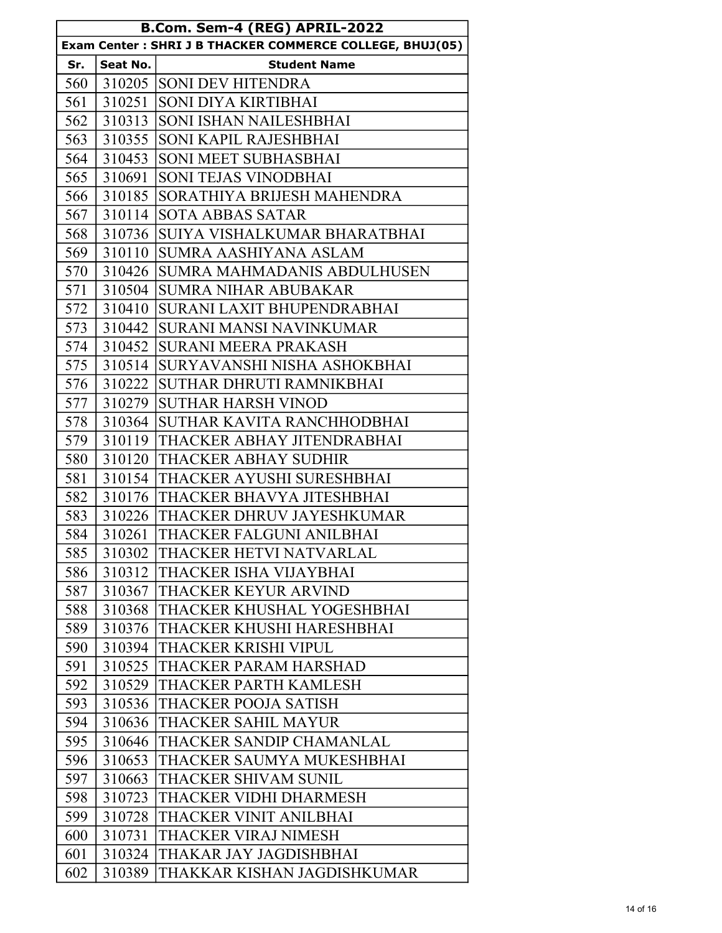| B.Com. Sem-4 (REG) APRIL-2022                            |          |                              |  |  |
|----------------------------------------------------------|----------|------------------------------|--|--|
| Exam Center: SHRI J B THACKER COMMERCE COLLEGE, BHUJ(05) |          |                              |  |  |
| Sr.                                                      | Seat No. | <b>Student Name</b>          |  |  |
| 560                                                      |          | 310205 SONI DEV HITENDRA     |  |  |
| 561                                                      | 310251   | SONI DIYA KIRTIBHAI          |  |  |
| 562                                                      | 310313   | SONI ISHAN NAILESHBHAI       |  |  |
| 563                                                      | 310355   | SONI KAPIL RAJESHBHAI        |  |  |
| 564                                                      | 310453   | <b>SONI MEET SUBHASBHAI</b>  |  |  |
| 565                                                      | 310691   | <b>SONI TEJAS VINODBHAI</b>  |  |  |
| 566                                                      | 310185   | SORATHIYA BRIJESH MAHENDRA   |  |  |
| 567                                                      | 310114   | <b>SOTA ABBAS SATAR</b>      |  |  |
| 568                                                      | 310736   | SUIYA VISHALKUMAR BHARATBHAI |  |  |
| 569                                                      | 310110   | <b>SUMRA AASHIYANA ASLAM</b> |  |  |
| 570                                                      | 310426   | SUMRA MAHMADANIS ABDULHUSEN  |  |  |
| 571                                                      | 310504   | <b>SUMRA NIHAR ABUBAKAR</b>  |  |  |
| 572                                                      | 310410   | SURANI LAXIT BHUPENDRABHAI   |  |  |
| 573                                                      | 310442   | SURANI MANSI NAVINKUMAR      |  |  |
| 574                                                      | 310452   | <b>SURANI MEERA PRAKASH</b>  |  |  |
| 575                                                      | 310514   | SURYAVANSHI NISHA ASHOKBHAI  |  |  |
| 576                                                      | 310222   | SUTHAR DHRUTI RAMNIKBHAI     |  |  |
| 577                                                      | 310279   | <b>SUTHAR HARSH VINOD</b>    |  |  |
| 578                                                      | 310364   | SUTHAR KAVITA RANCHHODBHAI   |  |  |
| 579                                                      | 310119   | THACKER ABHAY JITENDRABHAI   |  |  |
| 580                                                      | 310120   | THACKER ABHAY SUDHIR         |  |  |
| 581                                                      | 310154   | THACKER AYUSHI SURESHBHAI    |  |  |
| 582                                                      | 310176   | THACKER BHAVYA JITESHBHAI    |  |  |
| 583                                                      | 310226   | THACKER DHRUV JAYESHKUMAR    |  |  |
| 584                                                      | 310261   | THACKER FALGUNI ANILBHAI     |  |  |
| 585                                                      | 310302   | THACKER HETVI NATVARLAL      |  |  |
| 586                                                      | 310312   | THACKER ISHA VIJAYBHAI       |  |  |
| 587                                                      | 310367   | THACKER KEYUR ARVIND         |  |  |
| 588                                                      | 310368   | THACKER KHUSHAL YOGESHBHAI   |  |  |
| 589                                                      | 310376   | THACKER KHUSHI HARESHBHAI    |  |  |
| 590                                                      | 310394   | THACKER KRISHI VIPUL         |  |  |
| 591                                                      | 310525   | THACKER PARAM HARSHAD        |  |  |
| 592                                                      | 310529   | THACKER PARTH KAMLESH        |  |  |
| 593                                                      | 310536   | THACKER POOJA SATISH         |  |  |
| 594                                                      | 310636   | THACKER SAHIL MAYUR          |  |  |
| 595                                                      | 310646   | THACKER SANDIP CHAMANLAL     |  |  |
| 596                                                      | 310653   | THACKER SAUMYA MUKESHBHAI    |  |  |
| 597                                                      | 310663   | THACKER SHIVAM SUNIL         |  |  |
| 598                                                      | 310723   | THACKER VIDHI DHARMESH       |  |  |
| 599                                                      | 310728   | THACKER VINIT ANILBHAI       |  |  |
| 600                                                      | 310731   | THACKER VIRAJ NIMESH         |  |  |
| 601                                                      | 310324   | THAKAR JAY JAGDISHBHAI       |  |  |
| 602                                                      | 310389   | THAKKAR KISHAN JAGDISHKUMAR  |  |  |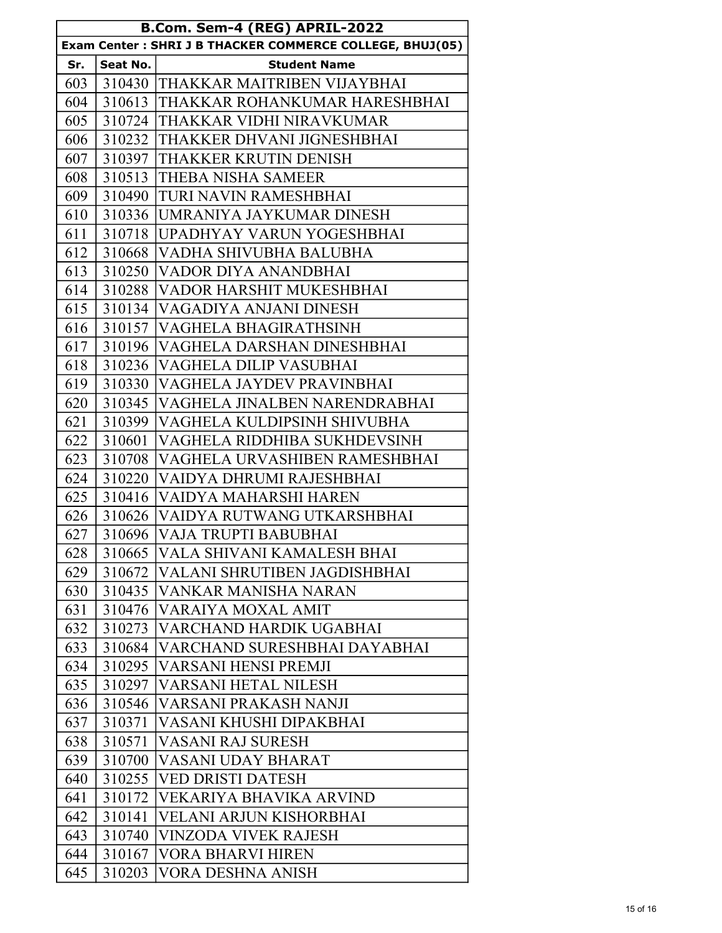| B.Com. Sem-4 (REG) APRIL-2022                             |          |                                        |  |  |
|-----------------------------------------------------------|----------|----------------------------------------|--|--|
| Exam Center : SHRI J B THACKER COMMERCE COLLEGE, BHUJ(05) |          |                                        |  |  |
| Sr.                                                       | Seat No. | <b>Student Name</b>                    |  |  |
| 603                                                       |          | 310430 THAKKAR MAITRIBEN VIJAYBHAI     |  |  |
| 604                                                       |          | 310613 THAKKAR ROHANKUMAR HARESHBHAI   |  |  |
| 605                                                       | 310724   | THAKKAR VIDHI NIRAVKUMAR               |  |  |
| 606                                                       |          | 310232 THAKKER DHVANI JIGNESHBHAI      |  |  |
| 607                                                       | 310397   | THAKKER KRUTIN DENISH                  |  |  |
| 608                                                       | 310513   | THEBA NISHA SAMEER                     |  |  |
| 609                                                       |          | 310490 TURI NAVIN RAMESHBHAI           |  |  |
| 610                                                       |          | 310336 UMRANIYA JAYKUMAR DINESH        |  |  |
| 611                                                       |          | 310718 UPADHYAY VARUN YOGESHBHAI       |  |  |
| 612                                                       |          | 310668 VADHA SHIVUBHA BALUBHA          |  |  |
| 613                                                       | 310250   | VADOR DIYA ANANDBHAI                   |  |  |
| 614                                                       |          | 310288 VADOR HARSHIT MUKESHBHAI        |  |  |
| 615                                                       |          | 310134   VAGADIYA ANJANI DINESH        |  |  |
| 616                                                       |          | 310157 VAGHELA BHAGIRATHSINH           |  |  |
| 617                                                       |          | 310196 VAGHELA DARSHAN DINESHBHAI      |  |  |
| 618                                                       |          | 310236   VAGHELA DILIP VASUBHAI        |  |  |
| 619                                                       |          | 310330 VAGHELA JAYDEV PRAVINBHAI       |  |  |
| 620                                                       |          | 310345   VAGHELA JINALBEN NARENDRABHAI |  |  |
| 621                                                       |          | 310399 VAGHELA KULDIPSINH SHIVUBHA     |  |  |
| 622                                                       | 310601   | VAGHELA RIDDHIBA SUKHDEVSINH           |  |  |
| 623                                                       | 310708   | VAGHELA URVASHIBEN RAMESHBHAI          |  |  |
| 624                                                       |          | 310220 VAIDYA DHRUMI RAJESHBHAI        |  |  |
| 625                                                       | 310416   | VAIDYA MAHARSHI HAREN                  |  |  |
| 626                                                       |          | 310626 VAIDYA RUTWANG UTKARSHBHAI      |  |  |
| 627                                                       |          | 310696 VAJA TRUPTI BABUBHAI            |  |  |
| 628                                                       | 310665   | VALA SHIVANI KAMALESH BHAI             |  |  |
| 629                                                       | 310672   | VALANI SHRUTIBEN JAGDISHBHAI           |  |  |
| 630                                                       | 310435   | VANKAR MANISHA NARAN                   |  |  |
| 631                                                       | 310476   | VARAIYA MOXAL AMIT                     |  |  |
| 632                                                       | 310273   | VARCHAND HARDIK UGABHAI                |  |  |
| 633                                                       | 310684   | VARCHAND SURESHBHAI DAYABHAI           |  |  |
| 634                                                       | 310295   | <b>VARSANI HENSI PREMJI</b>            |  |  |
| 635                                                       | 310297   | VARSANI HETAL NILESH                   |  |  |
| 636                                                       | 310546   | VARSANI PRAKASH NANJI                  |  |  |
| 637                                                       | 310371   | VASANI KHUSHI DIPAKBHAI                |  |  |
| 638                                                       | 310571   | VASANI RAJ SURESH                      |  |  |
| 639                                                       | 310700   | VASANI UDAY BHARAT                     |  |  |
| 640                                                       | 310255   | VED DRISTI DATESH                      |  |  |
| 641                                                       | 310172   | VEKARIYA BHAVIKA ARVIND                |  |  |
| 642                                                       | 310141   | VELANI ARJUN KISHORBHAI                |  |  |
| 643                                                       | 310740   | VINZODA VIVEK RAJESH                   |  |  |
| 644                                                       | 310167   | VORA BHARVI HIREN                      |  |  |
| 645                                                       | 310203   | VORA DESHNA ANISH                      |  |  |